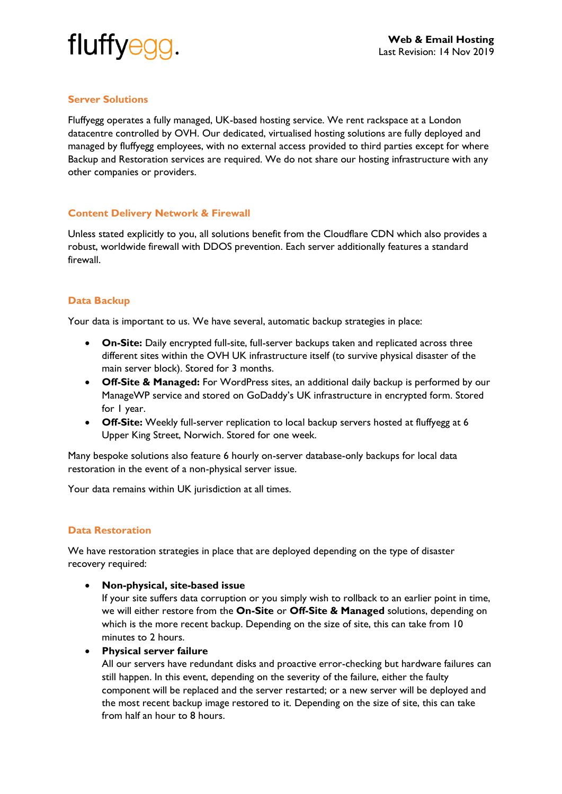

# **Server Solutions**

Fluffyegg operates a fully managed, UK-based hosting service. We rent rackspace at a London datacentre controlled by OVH. Our dedicated, virtualised hosting solutions are fully deployed and managed by fluffyegg employees, with no external access provided to third parties except for where Backup and Restoration services are required. We do not share our hosting infrastructure with any other companies or providers.

### **Content Delivery Network & Firewall**

Unless stated explicitly to you, all solutions benefit from the Cloudflare CDN which also provides a robust, worldwide firewall with DDOS prevention. Each server additionally features a standard firewall.

# **Data Backup**

Your data is important to us. We have several, automatic backup strategies in place:

- **On-Site:** Daily encrypted full-site, full-server backups taken and replicated across three different sites within the OVH UK infrastructure itself (to survive physical disaster of the main server block). Stored for 3 months.
- **Off-Site & Managed:** For WordPress sites, an additional daily backup is performed by our ManageWP service and stored on GoDaddy's UK infrastructure in encrypted form. Stored for 1 year.
- **Off-Site:** Weekly full-server replication to local backup servers hosted at fluffyegg at 6 Upper King Street, Norwich. Stored for one week.

Many bespoke solutions also feature 6 hourly on-server database-only backups for local data restoration in the event of a non-physical server issue.

Your data remains within UK jurisdiction at all times.

### **Data Restoration**

We have restoration strategies in place that are deployed depending on the type of disaster recovery required:

• **Non-physical, site-based issue**

If your site suffers data corruption or you simply wish to rollback to an earlier point in time, we will either restore from the **On-Site** or **Off-Site & Managed** solutions, depending on which is the more recent backup. Depending on the size of site, this can take from 10 minutes to 2 hours.

• **Physical server failure** 

All our servers have redundant disks and proactive error-checking but hardware failures can still happen. In this event, depending on the severity of the failure, either the faulty component will be replaced and the server restarted; or a new server will be deployed and the most recent backup image restored to it. Depending on the size of site, this can take from half an hour to 8 hours.